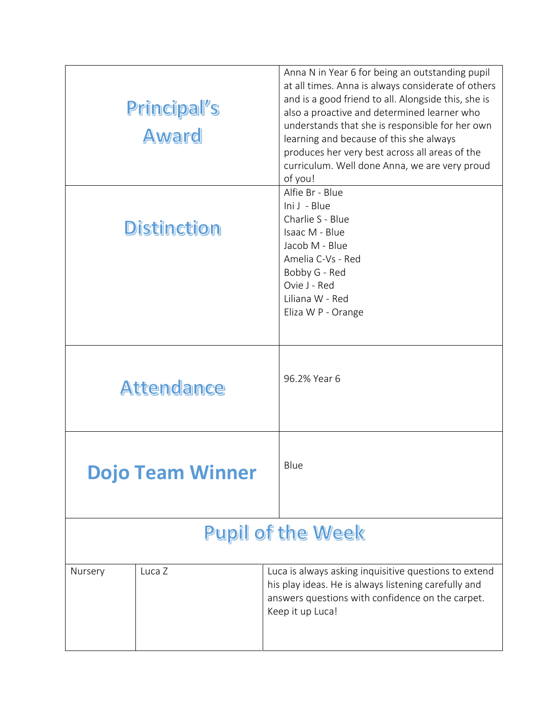| Principal's<br><b>Award</b> |                         | Anna N in Year 6 for being an outstanding pupil<br>at all times. Anna is always considerate of others<br>and is a good friend to all. Alongside this, she is<br>also a proactive and determined learner who<br>understands that she is responsible for her own<br>learning and because of this she always<br>produces her very best across all areas of the<br>curriculum. Well done Anna, we are very proud<br>of you! |  |  |
|-----------------------------|-------------------------|-------------------------------------------------------------------------------------------------------------------------------------------------------------------------------------------------------------------------------------------------------------------------------------------------------------------------------------------------------------------------------------------------------------------------|--|--|
| <b>Distinction</b>          |                         | Alfie Br - Blue<br>Ini J - Blue<br>Charlie S - Blue<br>Isaac M - Blue<br>Jacob M - Blue<br>Amelia C-Vs - Red<br>Bobby G - Red<br>Ovie J - Red<br>Liliana W - Red<br>Eliza W P - Orange                                                                                                                                                                                                                                  |  |  |
|                             | <b>Attendance</b>       | 96.2% Year 6                                                                                                                                                                                                                                                                                                                                                                                                            |  |  |
|                             | <b>Dojo Team Winner</b> | Blue                                                                                                                                                                                                                                                                                                                                                                                                                    |  |  |
| <b>Pupil of the Week</b>    |                         |                                                                                                                                                                                                                                                                                                                                                                                                                         |  |  |
| Nursery                     | Luca Z                  | Luca is always asking inquisitive questions to extend<br>his play ideas. He is always listening carefully and<br>answers questions with confidence on the carpet.<br>Keep it up Luca!                                                                                                                                                                                                                                   |  |  |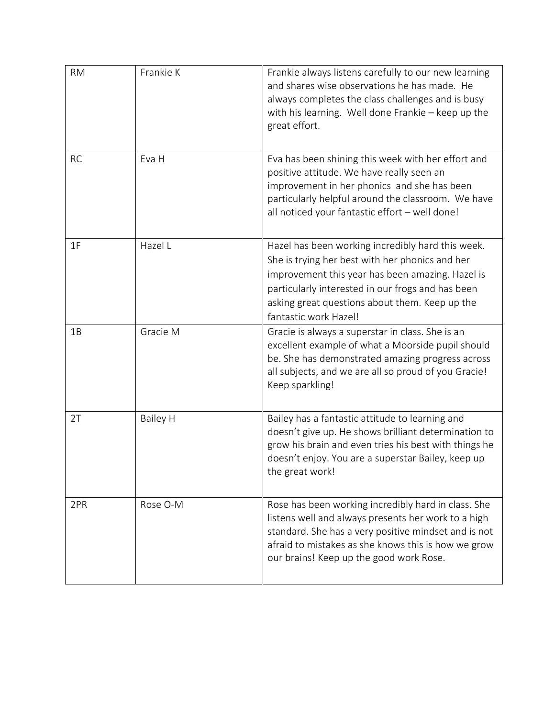| <b>RM</b> | Frankie K       | Frankie always listens carefully to our new learning<br>and shares wise observations he has made. He<br>always completes the class challenges and is busy<br>with his learning. Well done Frankie - keep up the<br>great effort.                                                         |
|-----------|-----------------|------------------------------------------------------------------------------------------------------------------------------------------------------------------------------------------------------------------------------------------------------------------------------------------|
| <b>RC</b> | Eva H           | Eva has been shining this week with her effort and<br>positive attitude. We have really seen an<br>improvement in her phonics and she has been<br>particularly helpful around the classroom. We have<br>all noticed your fantastic effort - well done!                                   |
| 1F        | Hazel L         | Hazel has been working incredibly hard this week.<br>She is trying her best with her phonics and her<br>improvement this year has been amazing. Hazel is<br>particularly interested in our frogs and has been<br>asking great questions about them. Keep up the<br>fantastic work Hazel! |
| 1B        | Gracie M        | Gracie is always a superstar in class. She is an<br>excellent example of what a Moorside pupil should<br>be. She has demonstrated amazing progress across<br>all subjects, and we are all so proud of you Gracie!<br>Keep sparkling!                                                     |
| 2T        | <b>Bailey H</b> | Bailey has a fantastic attitude to learning and<br>doesn't give up. He shows brilliant determination to<br>grow his brain and even tries his best with things he<br>doesn't enjoy. You are a superstar Bailey, keep up<br>the great work!                                                |
| 2PR       | Rose O-M        | Rose has been working incredibly hard in class. She<br>listens well and always presents her work to a high<br>standard. She has a very positive mindset and is not<br>afraid to mistakes as she knows this is how we grow<br>our brains! Keep up the good work Rose.                     |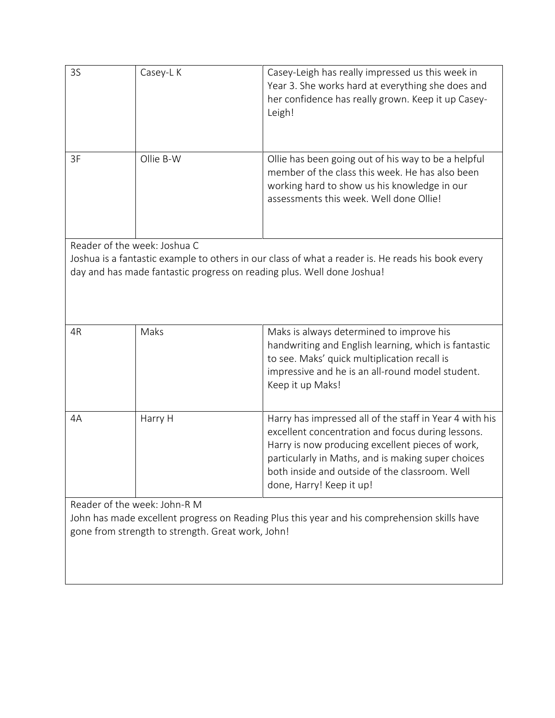| 3S                                                                                           | Casey-L K                                                              | Casey-Leigh has really impressed us this week in<br>Year 3. She works hard at everything she does and<br>her confidence has really grown. Keep it up Casey-<br>Leigh!                                                                                                                                |  |  |  |
|----------------------------------------------------------------------------------------------|------------------------------------------------------------------------|------------------------------------------------------------------------------------------------------------------------------------------------------------------------------------------------------------------------------------------------------------------------------------------------------|--|--|--|
| 3F                                                                                           | Ollie B-W                                                              | Ollie has been going out of his way to be a helpful<br>member of the class this week. He has also been<br>working hard to show us his knowledge in our<br>assessments this week. Well done Ollie!                                                                                                    |  |  |  |
| Reader of the week: Joshua C                                                                 |                                                                        |                                                                                                                                                                                                                                                                                                      |  |  |  |
|                                                                                              |                                                                        | Joshua is a fantastic example to others in our class of what a reader is. He reads his book every                                                                                                                                                                                                    |  |  |  |
|                                                                                              | day and has made fantastic progress on reading plus. Well done Joshua! |                                                                                                                                                                                                                                                                                                      |  |  |  |
|                                                                                              |                                                                        |                                                                                                                                                                                                                                                                                                      |  |  |  |
| 4R                                                                                           | Maks                                                                   | Maks is always determined to improve his<br>handwriting and English learning, which is fantastic<br>to see. Maks' quick multiplication recall is<br>impressive and he is an all-round model student.<br>Keep it up Maks!                                                                             |  |  |  |
| 4A                                                                                           | Harry H                                                                | Harry has impressed all of the staff in Year 4 with his<br>excellent concentration and focus during lessons.<br>Harry is now producing excellent pieces of work,<br>particularly in Maths, and is making super choices<br>both inside and outside of the classroom. Well<br>done, Harry! Keep it up! |  |  |  |
| Reader of the week: John-R M                                                                 |                                                                        |                                                                                                                                                                                                                                                                                                      |  |  |  |
| John has made excellent progress on Reading Plus this year and his comprehension skills have |                                                                        |                                                                                                                                                                                                                                                                                                      |  |  |  |
| gone from strength to strength. Great work, John!                                            |                                                                        |                                                                                                                                                                                                                                                                                                      |  |  |  |
|                                                                                              |                                                                        |                                                                                                                                                                                                                                                                                                      |  |  |  |
|                                                                                              |                                                                        |                                                                                                                                                                                                                                                                                                      |  |  |  |
|                                                                                              |                                                                        |                                                                                                                                                                                                                                                                                                      |  |  |  |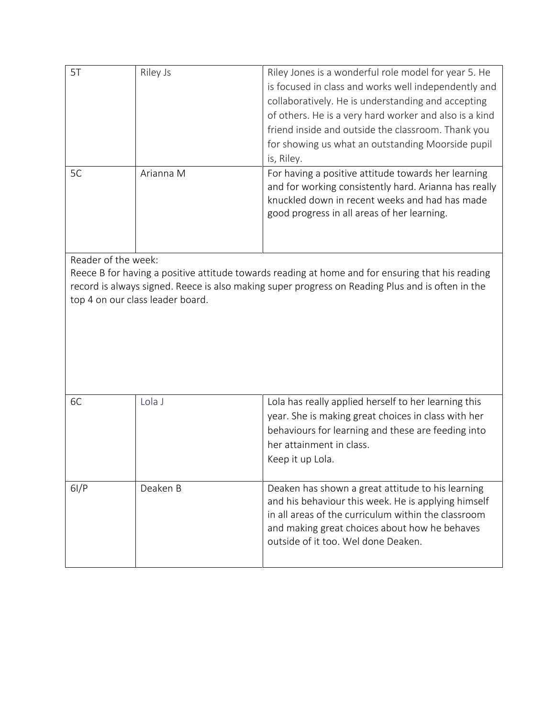| 5T                                                                                                                                                                                                                                                              | Riley Js  | Riley Jones is a wonderful role model for year 5. He<br>is focused in class and works well independently and<br>collaboratively. He is understanding and accepting<br>of others. He is a very hard worker and also is a kind<br>friend inside and outside the classroom. Thank you<br>for showing us what an outstanding Moorside pupil<br>is, Riley. |  |  |  |
|-----------------------------------------------------------------------------------------------------------------------------------------------------------------------------------------------------------------------------------------------------------------|-----------|-------------------------------------------------------------------------------------------------------------------------------------------------------------------------------------------------------------------------------------------------------------------------------------------------------------------------------------------------------|--|--|--|
| 5C                                                                                                                                                                                                                                                              | Arianna M | For having a positive attitude towards her learning<br>and for working consistently hard. Arianna has really<br>knuckled down in recent weeks and had has made<br>good progress in all areas of her learning.                                                                                                                                         |  |  |  |
| Reader of the week:<br>Reece B for having a positive attitude towards reading at home and for ensuring that his reading<br>record is always signed. Reece is also making super progress on Reading Plus and is often in the<br>top 4 on our class leader board. |           |                                                                                                                                                                                                                                                                                                                                                       |  |  |  |
| 6C                                                                                                                                                                                                                                                              | Lola J    | Lola has really applied herself to her learning this<br>year. She is making great choices in class with her<br>behaviours for learning and these are feeding into<br>her attainment in class.<br>Keep it up Lola.                                                                                                                                     |  |  |  |
| 6I/P                                                                                                                                                                                                                                                            | Deaken B  | Deaken has shown a great attitude to his learning<br>and his behaviour this week. He is applying himself<br>in all areas of the curriculum within the classroom<br>and making great choices about how he behaves<br>outside of it too. Wel done Deaken.                                                                                               |  |  |  |